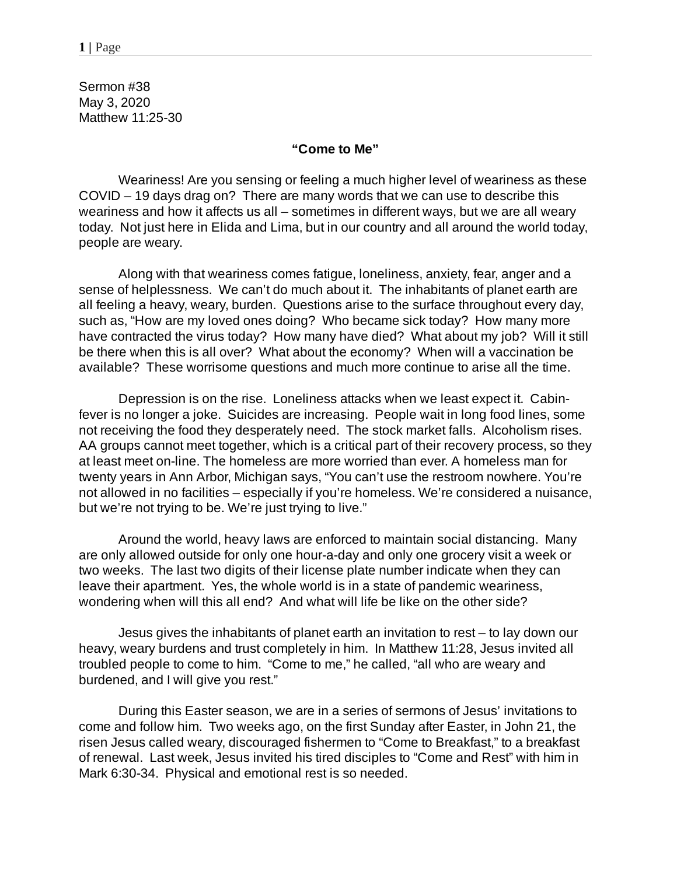Sermon #38 May 3, 2020 Matthew 11:25-30

## **"Come to Me"**

Weariness! Are you sensing or feeling a much higher level of weariness as these COVID – 19 days drag on? There are many words that we can use to describe this weariness and how it affects us all – sometimes in different ways, but we are all weary today. Not just here in Elida and Lima, but in our country and all around the world today, people are weary.

Along with that weariness comes fatigue, loneliness, anxiety, fear, anger and a sense of helplessness. We can't do much about it. The inhabitants of planet earth are all feeling a heavy, weary, burden. Questions arise to the surface throughout every day, such as, "How are my loved ones doing? Who became sick today? How many more have contracted the virus today? How many have died? What about my job? Will it still be there when this is all over? What about the economy? When will a vaccination be available? These worrisome questions and much more continue to arise all the time.

Depression is on the rise. Loneliness attacks when we least expect it. Cabinfever is no longer a joke. Suicides are increasing. People wait in long food lines, some not receiving the food they desperately need. The stock market falls. Alcoholism rises. AA groups cannot meet together, which is a critical part of their recovery process, so they at least meet on-line. The homeless are more worried than ever. A homeless man for twenty years in Ann Arbor, Michigan says, "You can't use the restroom nowhere. You're not allowed in no facilities – especially if you're homeless. We're considered a nuisance, but we're not trying to be. We're just trying to live."

Around the world, heavy laws are enforced to maintain social distancing. Many are only allowed outside for only one hour-a-day and only one grocery visit a week or two weeks. The last two digits of their license plate number indicate when they can leave their apartment. Yes, the whole world is in a state of pandemic weariness, wondering when will this all end? And what will life be like on the other side?

Jesus gives the inhabitants of planet earth an invitation to rest – to lay down our heavy, weary burdens and trust completely in him. In Matthew 11:28, Jesus invited all troubled people to come to him. "Come to me," he called, "all who are weary and burdened, and I will give you rest."

During this Easter season, we are in a series of sermons of Jesus' invitations to come and follow him. Two weeks ago, on the first Sunday after Easter, in John 21, the risen Jesus called weary, discouraged fishermen to "Come to Breakfast," to a breakfast of renewal. Last week, Jesus invited his tired disciples to "Come and Rest" with him in Mark 6:30-34. Physical and emotional rest is so needed.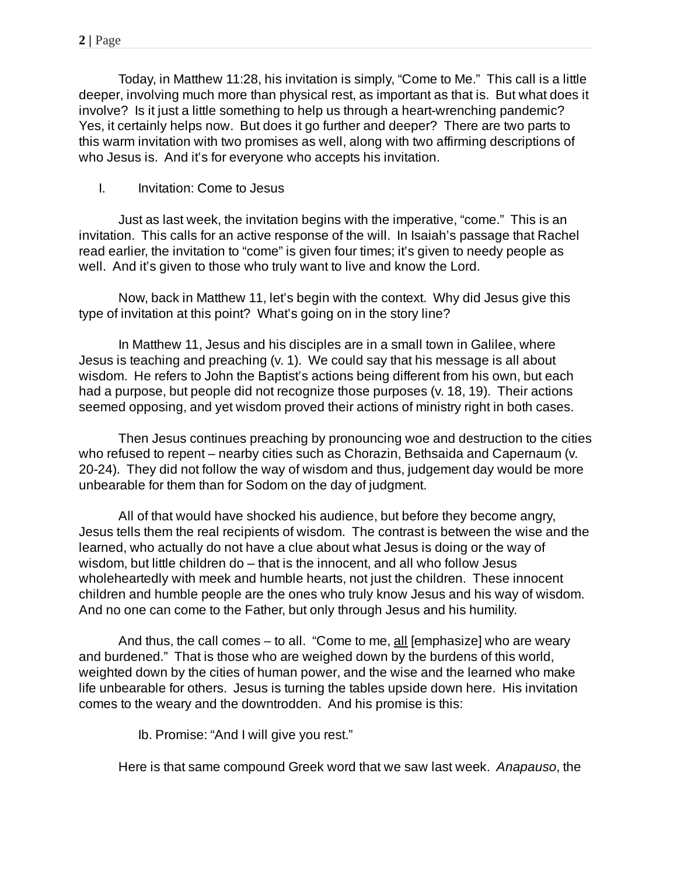Today, in Matthew 11:28, his invitation is simply, "Come to Me." This call is a little deeper, involving much more than physical rest, as important as that is. But what does it involve? Is it just a little something to help us through a heart-wrenching pandemic? Yes, it certainly helps now. But does it go further and deeper? There are two parts to this warm invitation with two promises as well, along with two affirming descriptions of who Jesus is. And it's for everyone who accepts his invitation.

I. Invitation: Come to Jesus

Just as last week, the invitation begins with the imperative, "come." This is an invitation. This calls for an active response of the will. In Isaiah's passage that Rachel read earlier, the invitation to "come" is given four times; it's given to needy people as well. And it's given to those who truly want to live and know the Lord.

Now, back in Matthew 11, let's begin with the context. Why did Jesus give this type of invitation at this point? What's going on in the story line?

In Matthew 11, Jesus and his disciples are in a small town in Galilee, where Jesus is teaching and preaching (v. 1). We could say that his message is all about wisdom. He refers to John the Baptist's actions being different from his own, but each had a purpose, but people did not recognize those purposes (v. 18, 19). Their actions seemed opposing, and yet wisdom proved their actions of ministry right in both cases.

Then Jesus continues preaching by pronouncing woe and destruction to the cities who refused to repent – nearby cities such as Chorazin, Bethsaida and Capernaum (v. 20-24). They did not follow the way of wisdom and thus, judgement day would be more unbearable for them than for Sodom on the day of judgment.

All of that would have shocked his audience, but before they become angry, Jesus tells them the real recipients of wisdom. The contrast is between the wise and the learned, who actually do not have a clue about what Jesus is doing or the way of wisdom, but little children do – that is the innocent, and all who follow Jesus wholeheartedly with meek and humble hearts, not just the children. These innocent children and humble people are the ones who truly know Jesus and his way of wisdom. And no one can come to the Father, but only through Jesus and his humility.

And thus, the call comes – to all. "Come to me, all [emphasize] who are weary and burdened." That is those who are weighed down by the burdens of this world, weighted down by the cities of human power, and the wise and the learned who make life unbearable for others. Jesus is turning the tables upside down here. His invitation comes to the weary and the downtrodden. And his promise is this:

Ib. Promise: "And I will give you rest."

Here is that same compound Greek word that we saw last week. *Anapauso*, the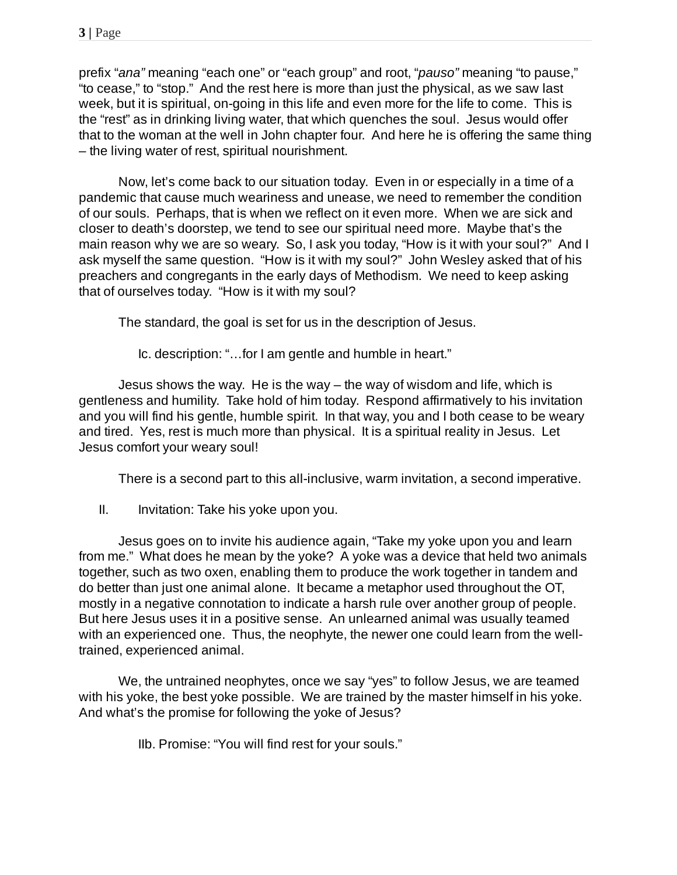prefix "*ana"* meaning "each one" or "each group" and root, "*pauso"* meaning "to pause," "to cease," to "stop." And the rest here is more than just the physical, as we saw last week, but it is spiritual, on-going in this life and even more for the life to come. This is the "rest" as in drinking living water, that which quenches the soul. Jesus would offer that to the woman at the well in John chapter four. And here he is offering the same thing – the living water of rest, spiritual nourishment.

Now, let's come back to our situation today. Even in or especially in a time of a pandemic that cause much weariness and unease, we need to remember the condition of our souls. Perhaps, that is when we reflect on it even more. When we are sick and closer to death's doorstep, we tend to see our spiritual need more. Maybe that's the main reason why we are so weary. So, I ask you today, "How is it with your soul?" And I ask myself the same question. "How is it with my soul?" John Wesley asked that of his preachers and congregants in the early days of Methodism. We need to keep asking that of ourselves today. "How is it with my soul?

The standard, the goal is set for us in the description of Jesus.

Ic. description: "…for I am gentle and humble in heart."

Jesus shows the way. He is the way – the way of wisdom and life, which is gentleness and humility. Take hold of him today. Respond affirmatively to his invitation and you will find his gentle, humble spirit. In that way, you and I both cease to be weary and tired. Yes, rest is much more than physical. It is a spiritual reality in Jesus. Let Jesus comfort your weary soul!

There is a second part to this all-inclusive, warm invitation, a second imperative.

II. Invitation: Take his yoke upon you.

Jesus goes on to invite his audience again, "Take my yoke upon you and learn from me." What does he mean by the yoke? A yoke was a device that held two animals together, such as two oxen, enabling them to produce the work together in tandem and do better than just one animal alone. It became a metaphor used throughout the OT, mostly in a negative connotation to indicate a harsh rule over another group of people. But here Jesus uses it in a positive sense. An unlearned animal was usually teamed with an experienced one. Thus, the neophyte, the newer one could learn from the welltrained, experienced animal.

We, the untrained neophytes, once we say "yes" to follow Jesus, we are teamed with his yoke, the best yoke possible. We are trained by the master himself in his yoke. And what's the promise for following the yoke of Jesus?

IIb. Promise: "You will find rest for your souls."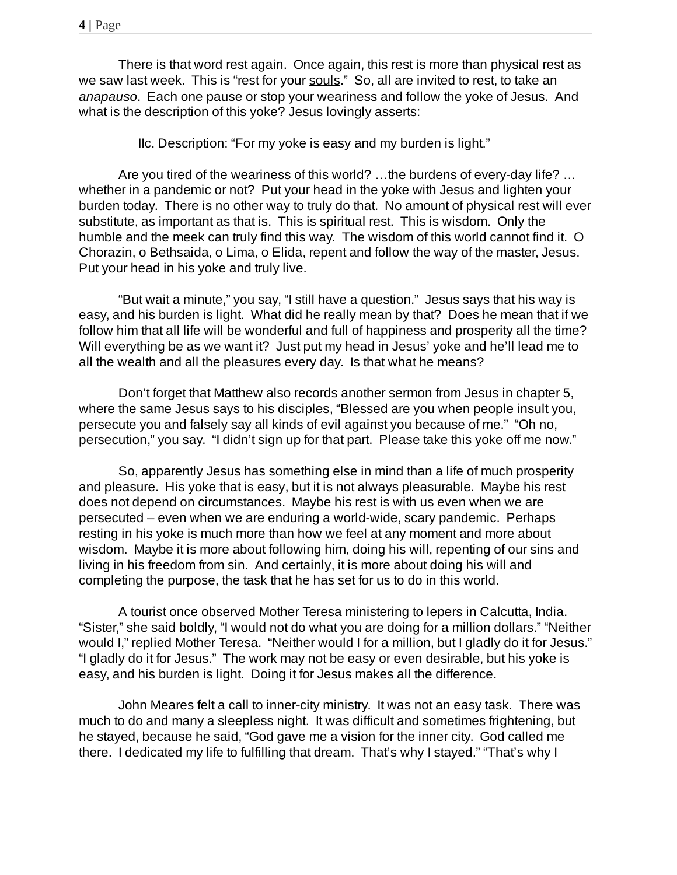There is that word rest again. Once again, this rest is more than physical rest as we saw last week. This is "rest for your souls." So, all are invited to rest, to take an *anapauso*. Each one pause or stop your weariness and follow the yoke of Jesus. And what is the description of this yoke? Jesus lovingly asserts:

IIc. Description: "For my yoke is easy and my burden is light."

Are you tired of the weariness of this world? …the burdens of every-day life? … whether in a pandemic or not? Put your head in the yoke with Jesus and lighten your burden today. There is no other way to truly do that. No amount of physical rest will ever substitute, as important as that is. This is spiritual rest. This is wisdom. Only the humble and the meek can truly find this way. The wisdom of this world cannot find it. O Chorazin, o Bethsaida, o Lima, o Elida, repent and follow the way of the master, Jesus. Put your head in his yoke and truly live.

"But wait a minute," you say, "I still have a question." Jesus says that his way is easy, and his burden is light. What did he really mean by that? Does he mean that if we follow him that all life will be wonderful and full of happiness and prosperity all the time? Will everything be as we want it? Just put my head in Jesus' yoke and he'll lead me to all the wealth and all the pleasures every day. Is that what he means?

Don't forget that Matthew also records another sermon from Jesus in chapter 5, where the same Jesus says to his disciples, "Blessed are you when people insult you, persecute you and falsely say all kinds of evil against you because of me." "Oh no, persecution," you say. "I didn't sign up for that part. Please take this yoke off me now."

So, apparently Jesus has something else in mind than a life of much prosperity and pleasure. His yoke that is easy, but it is not always pleasurable. Maybe his rest does not depend on circumstances. Maybe his rest is with us even when we are persecuted – even when we are enduring a world-wide, scary pandemic. Perhaps resting in his yoke is much more than how we feel at any moment and more about wisdom. Maybe it is more about following him, doing his will, repenting of our sins and living in his freedom from sin. And certainly, it is more about doing his will and completing the purpose, the task that he has set for us to do in this world.

A tourist once observed Mother Teresa ministering to lepers in Calcutta, India. "Sister," she said boldly, "I would not do what you are doing for a million dollars." "Neither would I," replied Mother Teresa. "Neither would I for a million, but I gladly do it for Jesus." "I gladly do it for Jesus." The work may not be easy or even desirable, but his yoke is easy, and his burden is light. Doing it for Jesus makes all the difference.

John Meares felt a call to inner-city ministry. It was not an easy task. There was much to do and many a sleepless night. It was difficult and sometimes frightening, but he stayed, because he said, "God gave me a vision for the inner city. God called me there. I dedicated my life to fulfilling that dream. That's why I stayed." "That's why I